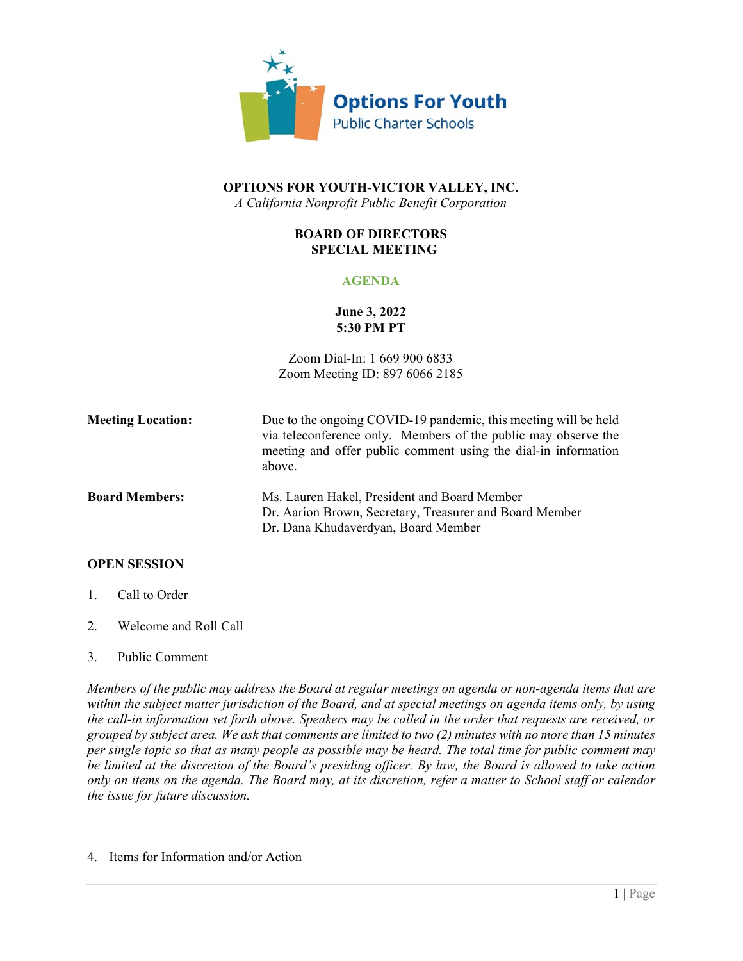

# **OPTIONS FOR YOUTH-VICTOR VALLEY, INC.** *A California Nonprofit Public Benefit Corporation*

### **BOARD OF DIRECTORS SPECIAL MEETING**

# **AGENDA**

# **June 3, 2022 5:30 PM PT**

Zoom Dial-In: 1 669 900 6833 Zoom Meeting ID: 897 6066 2185

| <b>Meeting Location:</b> | Due to the ongoing COVID-19 pandemic, this meeting will be held<br>via teleconference only. Members of the public may observe the<br>meeting and offer public comment using the dial-in information<br>above. |
|--------------------------|---------------------------------------------------------------------------------------------------------------------------------------------------------------------------------------------------------------|
| <b>Board Members:</b>    | Ms. Lauren Hakel, President and Board Member<br>Dr. Aarion Brown, Secretary, Treasurer and Board Member<br>Dr. Dana Khudaverdyan, Board Member                                                                |

# **OPEN SESSION**

- 1. Call to Order
- 2. Welcome and Roll Call
- 3. Public Comment

*Members of the public may address the Board at regular meetings on agenda or non-agenda items that are within the subject matter jurisdiction of the Board, and at special meetings on agenda items only, by using the call-in information set forth above. Speakers may be called in the order that requests are received, or grouped by subject area. We ask that comments are limited to two (2) minutes with no more than 15 minutes per single topic so that as many people as possible may be heard. The total time for public comment may be limited at the discretion of the Board's presiding officer. By law, the Board is allowed to take action only on items on the agenda. The Board may, at its discretion, refer a matter to School staff or calendar the issue for future discussion.*

4. Items for Information and/or Action